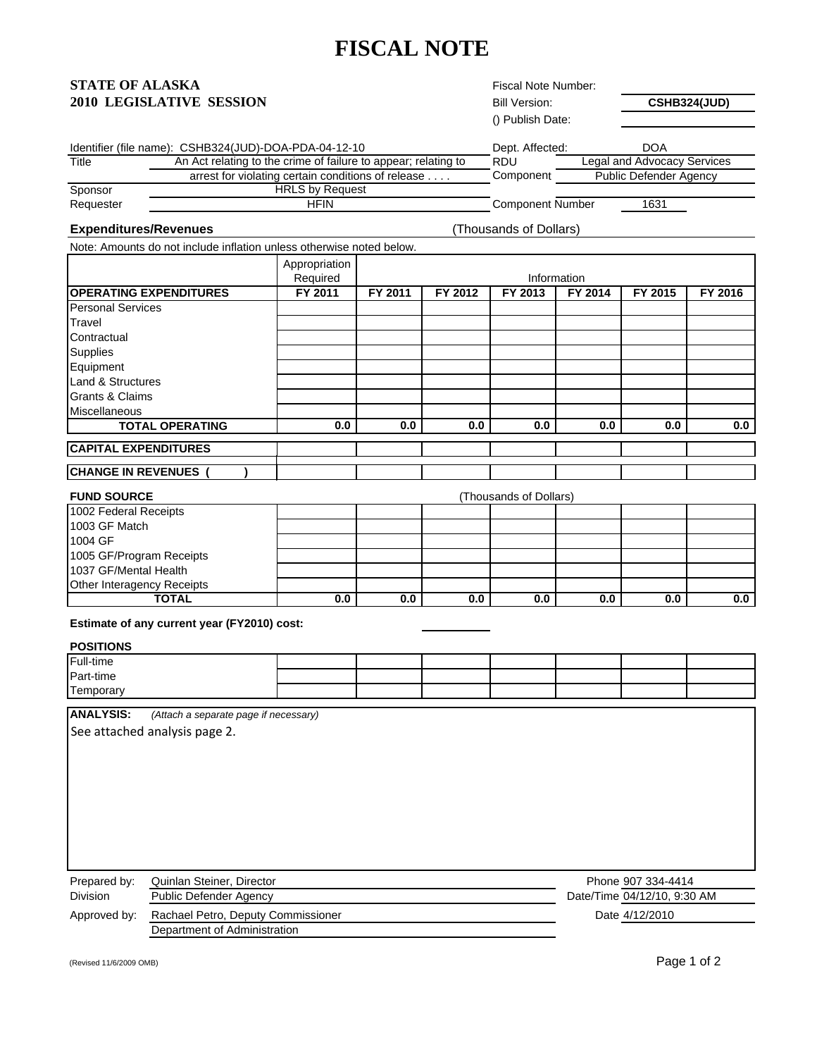# **FISCAL NOTE**

### **STATE OF ALASKA 2010 LEGISLATIVE SESSION**

| Fiscal Note Number: |  |
|---------------------|--|
| Bill Version:       |  |

**CSHB324(JUD)**

|           |                                                                | () Publish Date:        |                               |
|-----------|----------------------------------------------------------------|-------------------------|-------------------------------|
|           | Identifier (file name): CSHB324(JUD)-DOA-PDA-04-12-10          | Dept. Affected:         | <b>DOA</b>                    |
| Title     | An Act relating to the crime of failure to appear; relating to | <b>RDU</b>              | Legal and Advocacy Services   |
|           | arrest for violating certain conditions of release             | Component               | <b>Public Defender Agency</b> |
| Sponsor   | <b>HRLS by Request</b>                                         |                         |                               |
| Requester | <b>HFIN</b>                                                    | <b>Component Number</b> | 1631                          |
|           |                                                                |                         |                               |

#### **Expenditures/Revenues**

(Thousands of Dollars)

Note: Amounts do not include inflation unless otherwise noted below.

|                               | Appropriation |         |         |         |             |         |         |
|-------------------------------|---------------|---------|---------|---------|-------------|---------|---------|
|                               | Required      |         |         |         | Information |         |         |
| <b>OPERATING EXPENDITURES</b> | FY 2011       | FY 2011 | FY 2012 | FY 2013 | FY 2014     | FY 2015 | FY 2016 |
| <b>Personal Services</b>      |               |         |         |         |             |         |         |
| Travel                        |               |         |         |         |             |         |         |
| Contractual                   |               |         |         |         |             |         |         |
| Supplies                      |               |         |         |         |             |         |         |
| Equipment                     |               |         |         |         |             |         |         |
| Land & Structures             |               |         |         |         |             |         |         |
| <b>Grants &amp; Claims</b>    |               |         |         |         |             |         |         |
| <b>Miscellaneous</b>          |               |         |         |         |             |         |         |
| <b>TOTAL OPERATING</b>        | 0.0           | 0.0     | 0.0     | 0.0     | 0.0         | 0.0     | 0.0     |
| <b>CAPITAL EXPENDITURES</b>   |               |         |         |         |             |         |         |
| <b>CHANGE IN REVENUES</b>     |               |         |         |         |             |         |         |

| <b>FUND SOURCE</b>         | (Thousands of Dollars) |     |     |     |     |     |     |
|----------------------------|------------------------|-----|-----|-----|-----|-----|-----|
| 1002 Federal Receipts      |                        |     |     |     |     |     |     |
| 1003 GF Match              |                        |     |     |     |     |     |     |
| 1004 GF                    |                        |     |     |     |     |     |     |
| 1005 GF/Program Receipts   |                        |     |     |     |     |     |     |
| 1037 GF/Mental Health      |                        |     |     |     |     |     |     |
| Other Interagency Receipts |                        |     |     |     |     |     |     |
| TOTAL                      | 0.0                    | 0.0 | 0.0 | 0.0 | 0.0 | 0.0 | 0.0 |

**Estimate of any current year (FY2010) cost:** 

### **POSITIONS**

| <b>Full-time</b> |  |  |  |  |
|------------------|--|--|--|--|
| Part-time        |  |  |  |  |
| $-$<br>Temporary |  |  |  |  |

**ANALYSIS:** *(Attach a separate page if necessary)*

See attached analysis page 2.

| Prepared by:    | Quinlan Steiner, Director          | Phone 907 334-4414          |
|-----------------|------------------------------------|-----------------------------|
| <b>Division</b> | Public Defender Agency             | Date/Time 04/12/10, 9:30 AM |
| Approved by:    | Rachael Petro, Deputy Commissioner | Date 4/12/2010              |
|                 | Department of Administration       |                             |